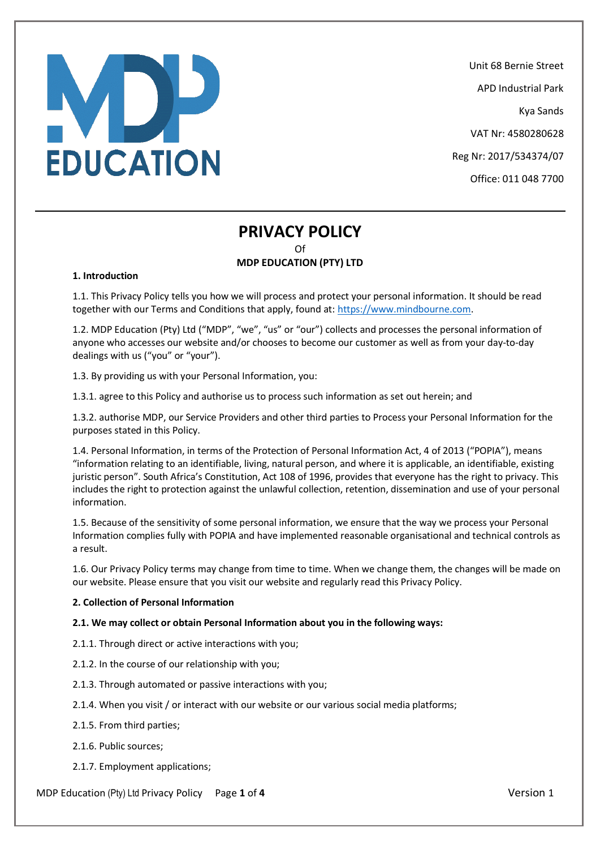# MP **EDUCATION**

Unit 68 Bernie Street

APD Industrial Park

Kya Sands

VAT Nr: 4580280628

Reg Nr: 2017/534374/07

Office: 011 048 7700

# **PRIVACY POLICY** Of

# **MDP EDUCATION (PTY) LTD**

# **1. Introduction**

1.1. This Privacy Policy tells you how we will process and protect your personal information. It should be read together with our Terms and Conditions that apply, found at: [https://www.mindbourne.com.](https://www.mindbourne.com/)

1.2. MDP Education (Pty) Ltd ("MDP", "we", "us" or "our") collects and processes the personal information of anyone who accesses our website and/or chooses to become our customer as well as from your day-to-day dealings with us ("you" or "your").

1.3. By providing us with your Personal Information, you:

1.3.1. agree to this Policy and authorise us to process such information as set out herein; and

1.3.2. authorise MDP, our Service Providers and other third parties to Process your Personal Information for the purposes stated in this Policy.

1.4. Personal Information, in terms of the Protection of Personal Information Act, 4 of 2013 ("POPIA"), means "information relating to an identifiable, living, natural person, and where it is applicable, an identifiable, existing juristic person". South Africa's Constitution, Act 108 of 1996, provides that everyone has the right to privacy. This includes the right to protection against the unlawful collection, retention, dissemination and use of your personal information.

1.5. Because of the sensitivity of some personal information, we ensure that the way we process your Personal Information complies fully with POPIA and have implemented reasonable organisational and technical controls as a result.

1.6. Our Privacy Policy terms may change from time to time. When we change them, the changes will be made on our website. Please ensure that you visit our website and regularly read this Privacy Policy.

# **2. Collection of Personal Information**

# **2.1. We may collect or obtain Personal Information about you in the following ways:**

2.1.1. Through direct or active interactions with you;

- 2.1.2. In the course of our relationship with you;
- 2.1.3. Through automated or passive interactions with you;
- 2.1.4. When you visit / or interact with our website or our various social media platforms;
- 2.1.5. From third parties;
- 2.1.6. Public sources;
- 2.1.7. Employment applications;

MDP Education (Pty) Ltd Privacy Policy Page **1** of **4** Version 1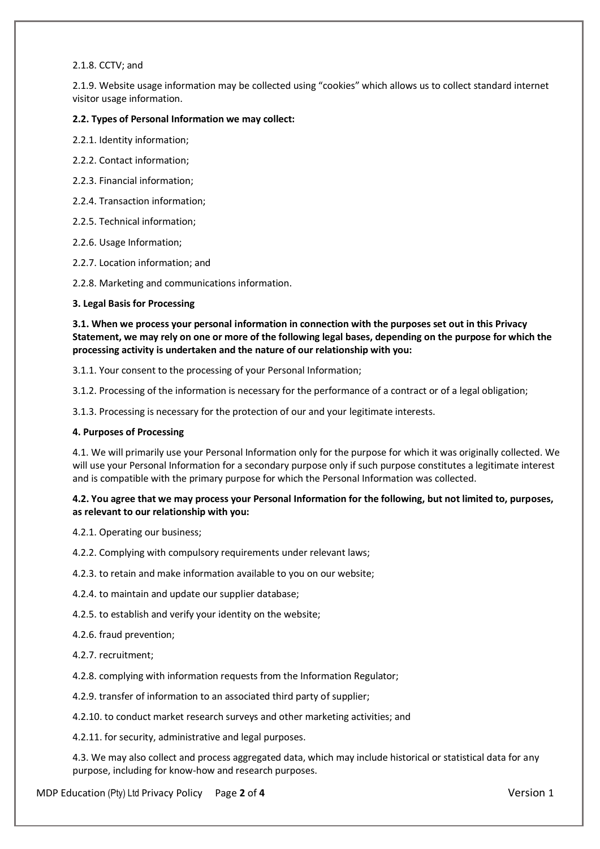#### 2.1.8. CCTV; and

2.1.9. Website usage information may be collected using "cookies" which allows us to collect standard internet visitor usage information.

# **2.2. Types of Personal Information we may collect:**

2.2.1. Identity information;

- 2.2.2. Contact information;
- 2.2.3. Financial information;
- 2.2.4. Transaction information;
- 2.2.5. Technical information;
- 2.2.6. Usage Information;
- 2.2.7. Location information; and

2.2.8. Marketing and communications information.

# **3. Legal Basis for Processing**

**3.1. When we process your personal information in connection with the purposes set out in this Privacy Statement, we may rely on one or more of the following legal bases, depending on the purpose for which the processing activity is undertaken and the nature of our relationship with you:**

3.1.1. Your consent to the processing of your Personal Information;

3.1.2. Processing of the information is necessary for the performance of a contract or of a legal obligation;

3.1.3. Processing is necessary for the protection of our and your legitimate interests.

#### **4. Purposes of Processing**

4.1. We will primarily use your Personal Information only for the purpose for which it was originally collected. We will use your Personal Information for a secondary purpose only if such purpose constitutes a legitimate interest and is compatible with the primary purpose for which the Personal Information was collected.

# **4.2. You agree that we may process your Personal Information for the following, but not limited to, purposes, as relevant to our relationship with you:**

4.2.1. Operating our business;

4.2.2. Complying with compulsory requirements under relevant laws;

4.2.3. to retain and make information available to you on our website;

- 4.2.4. to maintain and update our supplier database;
- 4.2.5. to establish and verify your identity on the website;

#### 4.2.6. fraud prevention;

4.2.7. recruitment;

4.2.8. complying with information requests from the Information Regulator;

4.2.9. transfer of information to an associated third party of supplier;

4.2.10. to conduct market research surveys and other marketing activities; and

4.2.11. for security, administrative and legal purposes.

4.3. We may also collect and process aggregated data, which may include historical or statistical data for any purpose, including for know-how and research purposes.

MDP Education (Pty) Ltd Privacy Policy Page **2** of **4** Version 1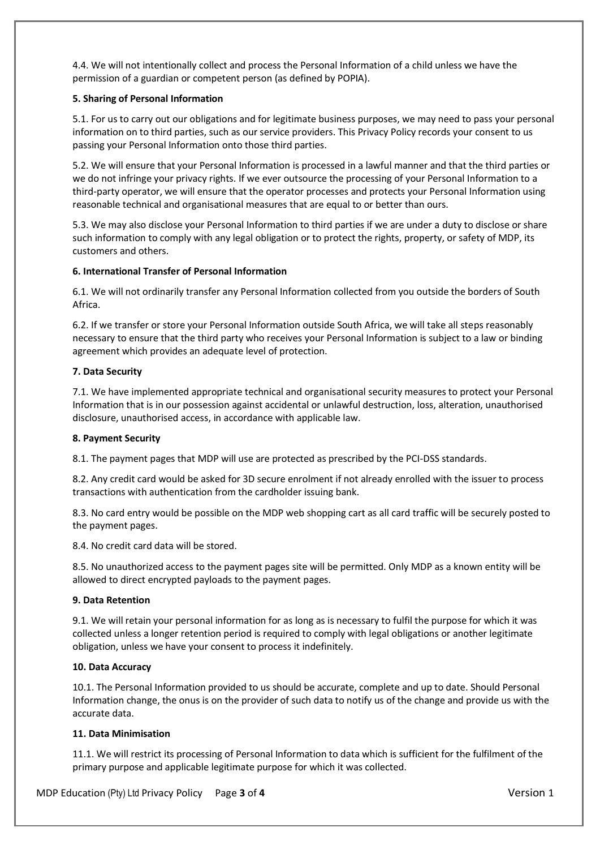4.4. We will not intentionally collect and process the Personal Information of a child unless we have the permission of a guardian or competent person (as defined by POPIA).

# **5. Sharing of Personal Information**

5.1. For us to carry out our obligations and for legitimate business purposes, we may need to pass your personal information on to third parties, such as our service providers. This Privacy Policy records your consent to us passing your Personal Information onto those third parties.

5.2. We will ensure that your Personal Information is processed in a lawful manner and that the third parties or we do not infringe your privacy rights. If we ever outsource the processing of your Personal Information to a third-party operator, we will ensure that the operator processes and protects your Personal Information using reasonable technical and organisational measures that are equal to or better than ours.

5.3. We may also disclose your Personal Information to third parties if we are under a duty to disclose or share such information to comply with any legal obligation or to protect the rights, property, or safety of MDP, its customers and others.

# **6. International Transfer of Personal Information**

6.1. We will not ordinarily transfer any Personal Information collected from you outside the borders of South Africa.

6.2. If we transfer or store your Personal Information outside South Africa, we will take all steps reasonably necessary to ensure that the third party who receives your Personal Information is subject to a law or binding agreement which provides an adequate level of protection.

# **7. Data Security**

7.1. We have implemented appropriate technical and organisational security measures to protect your Personal Information that is in our possession against accidental or unlawful destruction, loss, alteration, unauthorised disclosure, unauthorised access, in accordance with applicable law.

# **8. Payment Security**

8.1. The payment pages that MDP will use are protected as prescribed by the PCI-DSS standards.

8.2. Any credit card would be asked for 3D secure enrolment if not already enrolled with the issuer to process transactions with authentication from the cardholder issuing bank.

8.3. No card entry would be possible on the MDP web shopping cart as all card traffic will be securely posted to the payment pages.

8.4. No credit card data will be stored.

8.5. No unauthorized access to the payment pages site will be permitted. Only MDP as a known entity will be allowed to direct encrypted payloads to the payment pages.

# **9. Data Retention**

9.1. We will retain your personal information for as long as is necessary to fulfil the purpose for which it was collected unless a longer retention period is required to comply with legal obligations or another legitimate obligation, unless we have your consent to process it indefinitely.

# **10. Data Accuracy**

10.1. The Personal Information provided to us should be accurate, complete and up to date. Should Personal Information change, the onus is on the provider of such data to notify us of the change and provide us with the accurate data.

# **11. Data Minimisation**

11.1. We will restrict its processing of Personal Information to data which is sufficient for the fulfilment of the primary purpose and applicable legitimate purpose for which it was collected.